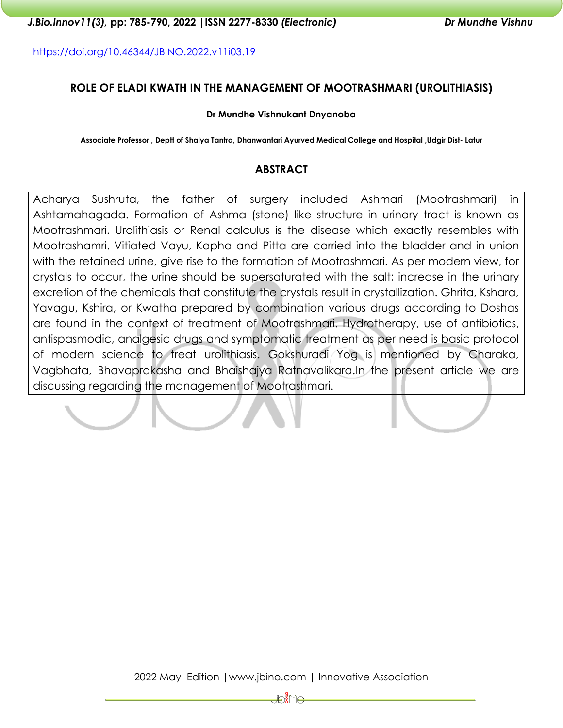<https://doi.org/10.46344/JBINO.2022.v11i03.19>

# **ROLE OF ELADI KWATH IN THE MANAGEMENT OF MOOTRASHMARI (UROLITHIASIS)**

#### **Dr Mundhe Vishnukant Dnyanoba**

**Associate Professor , Deptt of Shalya Tantra, Dhanwantari Ayurved Medical College and Hospital ,Udgir Dist- Latur**

# **ABSTRACT**

Acharya Sushruta, the father of surgery included Ashmari (Mootrashmari) in Ashtamahagada. Formation of Ashma (stone) like structure in urinary tract is known as Mootrashmari. Urolithiasis or Renal calculus is the disease which exactly resembles with Mootrashamri. Vitiated Vayu, Kapha and Pitta are carried into the bladder and in union with the retained urine, give rise to the formation of Mootrashmari. As per modern view, for crystals to occur, the urine should be supersaturated with the salt; increase in the urinary excretion of the chemicals that constitute the crystals result in crystallization. Ghrita, Kshara, Yavagu, Kshira, or Kwatha prepared by combination various drugs according to Doshas are found in the context of treatment of Mootrashmari. Hydrotherapy, use of antibiotics, antispasmodic, analgesic drugs and symptomatic treatment as per need is basic protocol of modern science to treat urolithiasis. Gokshuradi Yog is mentioned by Charaka, Vagbhata, Bhavaprakasha and Bhaishajya Ratnavalikara.In the present article we are discussing regarding the management of Mootrashmari.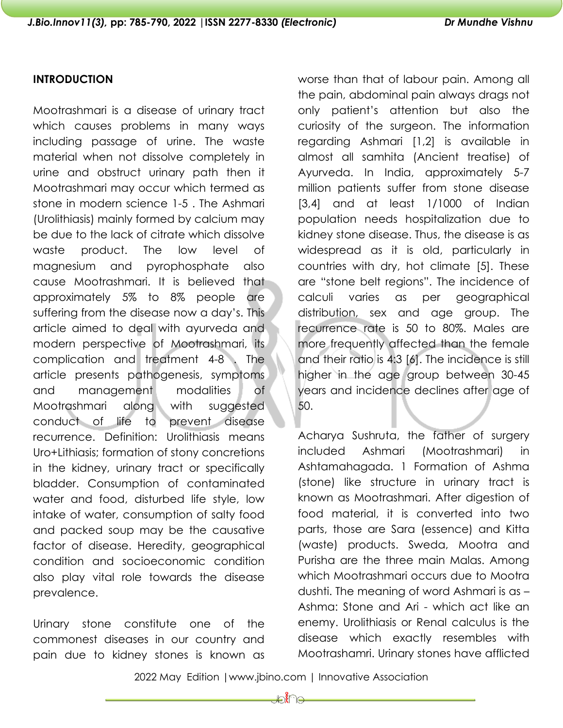# **INTRODUCTION**

Mootrashmari is a disease of urinary tract which causes problems in many ways including passage of urine. The waste material when not dissolve completely in urine and obstruct urinary path then it Mootrashmari may occur which termed as stone in modern science 1-5 . The Ashmari (Urolithiasis) mainly formed by calcium may be due to the lack of citrate which dissolve waste product. The low level of magnesium and pyrophosphate also cause Mootrashmari. It is believed that approximately 5% to 8% people are suffering from the disease now a day's. This article aimed to deal with ayurveda and modern perspective of Mootrashmari, its complication and treatment 4-8 . The article presents pathogenesis, symptoms and management modalities of Mootrashmari along with suggested conduct of life to prevent disease recurrence. Definition: Urolithiasis means Uro+Lithiasis; formation of stony concretions in the kidney, urinary tract or specifically bladder. Consumption of contaminated water and food, disturbed life style, low intake of water, consumption of salty food and packed soup may be the causative factor of disease. Heredity, geographical condition and socioeconomic condition also play vital role towards the disease prevalence.

Urinary stone constitute one of the commonest diseases in our country and pain due to kidney stones is known as

worse than that of labour pain. Among all the pain, abdominal pain always drags not only patient's attention but also the curiosity of the surgeon. The information regarding Ashmari [1,2] is available in almost all samhita (Ancient treatise) of Ayurveda. In India, approximately 5-7 million patients suffer from stone disease [3,4] and at least 1/1000 of Indian population needs hospitalization due to kidney stone disease. Thus, the disease is as widespread as it is old, particularly in countries with dry, hot climate [5]. These are "stone belt regions". The incidence of calculi varies as per geographical distribution, sex and age group. The recurrence rate is 50 to 80%. Males are more frequently affected than the female and their ratio is 4:3 [6]. The incidence is still higher in the age group between 30-45 years and incidence declines after age of 50.

Acharya Sushruta, the father of surgery included Ashmari (Mootrashmari) in Ashtamahagada. 1 Formation of Ashma (stone) like structure in urinary tract is known as Mootrashmari. After digestion of food material, it is converted into two parts, those are Sara (essence) and Kitta (waste) products. Sweda, Mootra and Purisha are the three main Malas. Among which Mootrashmari occurs due to Mootra dushti. The meaning of word Ashmari is as – Ashma: Stone and Ari - which act like an enemy. Urolithiasis or Renal calculus is the disease which exactly resembles with Mootrashamri. Urinary stones have afflicted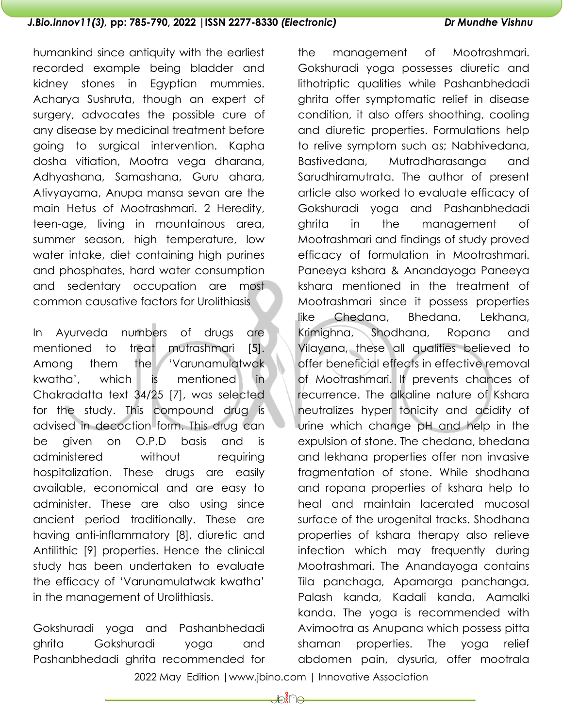humankind since antiquity with the earliest recorded example being bladder and kidney stones in Egyptian mummies. Acharya Sushruta, though an expert of surgery, advocates the possible cure of any disease by medicinal treatment before going to surgical intervention. Kapha dosha vitiation, Mootra vega dharana, Adhyashana, Samashana, Guru ahara, Ativyayama, Anupa mansa sevan are the main Hetus of Mootrashmari. 2 Heredity, teen-age, living in mountainous area, summer season, high temperature, low water intake, diet containing high purines and phosphates, hard water consumption and sedentary occupation are most common causative factors for Urolithiasis

In Ayurveda numbers of drugs are mentioned to treat mutrashmari [5]. Among them the 'Varunamulatwak kwatha', which is mentioned in Chakradatta text 34/25 [7], was selected for the study. This compound drug is advised in decoction form. This drug can be given on O.P.D basis and is administered without requiring hospitalization. These drugs are easily available, economical and are easy to administer. These are also using since ancient period traditionally. These are having anti-inflammatory [8], diuretic and Antilithic [9] properties. Hence the clinical study has been undertaken to evaluate the efficacy of 'Varunamulatwak kwatha' in the management of Urolithiasis.

Gokshuradi yoga and Pashanbhedadi ghrita Gokshuradi yoga and Pashanbhedadi ghrita recommended for

the management of Mootrashmari. Gokshuradi yoga possesses diuretic and lithotriptic qualities while Pashanbhedadi ghrita offer symptomatic relief in disease condition, it also offers shoothing, cooling and diuretic properties. Formulations help to relive symptom such as; Nabhivedana, Bastivedana, Mutradharasanga and Sarudhiramutrata. The author of present article also worked to evaluate efficacy of Gokshuradi yoga and Pashanbhedadi ghrita in the management of Mootrashmari and findings of study proved efficacy of formulation in Mootrashmari. Paneeya kshara & Anandayoga Paneeya kshara mentioned in the treatment of Mootrashmari since it possess properties like Chedana, Bhedana, Lekhana, Krimighna, Shodhana, Ropana and Vilayana, these all qualities believed to offer beneficial effects in effective removal of Mootrashmari. It prevents chances of recurrence. The alkaline nature of Kshara neutralizes hyper tonicity and acidity of urine which change pH and help in the expulsion of stone. The chedana, bhedana and lekhana properties offer non invasive fragmentation of stone. While shodhana and ropana properties of kshara help to heal and maintain lacerated mucosal surface of the urogenital tracks. Shodhana properties of kshara therapy also relieve infection which may frequently during Mootrashmari. The Anandayoga contains Tila panchaga, Apamarga panchanga, Palash kanda, Kadali kanda, Aamalki kanda. The yoga is recommended with Avimootra as Anupana which possess pitta shaman properties. The yoga relief abdomen pain, dysuria, offer mootrala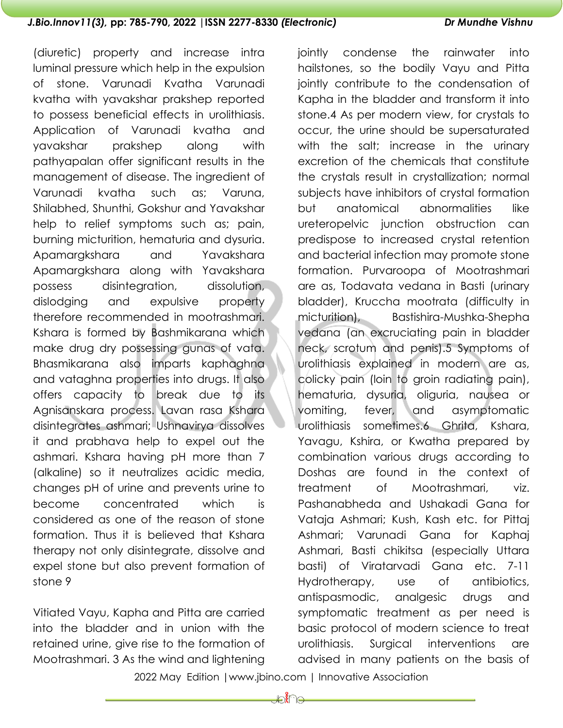(diuretic) property and increase intra luminal pressure which help in the expulsion of stone. Varunadi Kvatha Varunadi kvatha with yavakshar prakshep reported to possess beneficial effects in urolithiasis. Application of Varunadi kvatha and yavakshar prakshep along with pathyapalan offer significant results in the management of disease. The ingredient of Varunadi kvatha such as; Varuna, Shilabhed, Shunthi, Gokshur and Yavakshar help to relief symptoms such as; pain, burning micturition, hematuria and dysuria. Apamargkshara and Yavakshara Apamargkshara along with Yavakshara possess disintegration, dissolution, dislodging and expulsive property therefore recommended in mootrashmari. Kshara is formed by Bashmikarana which make drug dry possessing gunas of vata. Bhasmikarana also imparts kaphaghna and vataghna properties into drugs. It also offers capacity to break due to its Agnisanskara process. Lavan rasa Kshara disintegrates ashmari; Ushnavirya dissolves it and prabhava help to expel out the ashmari. Kshara having pH more than 7 (alkaline) so it neutralizes acidic media, changes pH of urine and prevents urine to become concentrated which is considered as one of the reason of stone formation. Thus it is believed that Kshara therapy not only disintegrate, dissolve and expel stone but also prevent formation of stone 9

Vitiated Vayu, Kapha and Pitta are carried into the bladder and in union with the retained urine, give rise to the formation of Mootrashmari. 3 As the wind and lightening jointly condense the rainwater into hailstones, so the bodily Vayu and Pitta jointly contribute to the condensation of Kapha in the bladder and transform it into stone.4 As per modern view, for crystals to occur, the urine should be supersaturated with the salt; increase in the urinary excretion of the chemicals that constitute the crystals result in crystallization; normal subjects have inhibitors of crystal formation but anatomical abnormalities like ureteropelvic junction obstruction can predispose to increased crystal retention and bacterial infection may promote stone formation. Purvaroopa of Mootrashmari are as, Todavata vedana in Basti (urinary bladder), Kruccha mootrata (difficulty in micturition), Bastishira-Mushka-Shepha vedana (an excruciating pain in bladder neck, scrotum and penis).5 Symptoms of urolithiasis explained in modern are as, colicky pain (loin to groin radiating pain), hematuria, dysuria, oliguria, nausea or vomiting, fever, and asymptomatic urolithiasis sometimes.6 Ghrita, Kshara, Yavagu, Kshira, or Kwatha prepared by combination various drugs according to Doshas are found in the context of treatment of Mootrashmari, viz. Pashanabheda and Ushakadi Gana for Vataja Ashmari; Kush, Kash etc. for Pittaj Ashmari; Varunadi Gana for Kaphaj Ashmari, Basti chikitsa (especially Uttara basti) of Viratarvadi Gana etc. 7-11 Hydrotherapy, use of antibiotics, antispasmodic, analgesic drugs and symptomatic treatment as per need is basic protocol of modern science to treat urolithiasis. Surgical interventions are advised in many patients on the basis of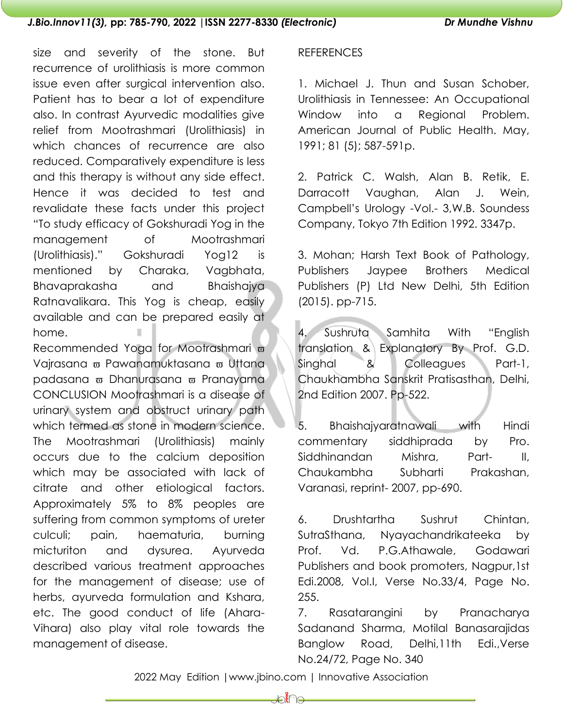size and severity of the stone. But recurrence of urolithiasis is more common issue even after surgical intervention also. Patient has to bear a lot of expenditure also. In contrast Ayurvedic modalities give relief from Mootrashmari (Urolithiasis) in which chances of recurrence are also reduced. Comparatively expenditure is less and this therapy is without any side effect. Hence it was decided to test and revalidate these facts under this project "To study efficacy of Gokshuradi Yog in the management of Mootrashmari (Urolithiasis)." Gokshuradi Yog12 is mentioned by Charaka, Vagbhata, Bhavaprakasha and Bhaishajya Ratnavalikara. This Yog is cheap, easily available and can be prepared easily at home.

Recommended Yoga for Mootrashmari  $\varpi$ Vajrasana <del>w</del> Pawanamuktasana <del>w</del> Uttana padasana  $\varpi$  Dhanurasana  $\varpi$  Pranayama CONCLUSION Mootrashmari is a disease of urinary system and obstruct urinary path which termed as stone in modern science. The Mootrashmari (Urolithiasis) mainly occurs due to the calcium deposition which may be associated with lack of citrate and other etiological factors. Approximately 5% to 8% peoples are suffering from common symptoms of ureter culculi; pain, haematuria, burning micturiton and dysurea. Ayurveda described various treatment approaches for the management of disease; use of herbs, ayurveda formulation and Kshara, etc. The good conduct of life (Ahara-Vihara) also play vital role towards the management of disease.

## **REFERENCES**

1. Michael J. Thun and Susan Schober, Urolithiasis in Tennessee: An Occupational Window into a Regional Problem. American Journal of Public Health. May, 1991; 81 (5); 587-591p.

2. Patrick C. Walsh, Alan B. Retik, E. Darracott Vaughan, Alan J. Wein, Campbell's Urology -Vol.- 3,W.B. Soundess Company, Tokyo 7th Edition 1992. 3347p.

3. Mohan; Harsh Text Book of Pathology, Publishers Jaypee Brothers Medical Publishers (P) Ltd New Delhi, 5th Edition (2015). pp-715.

4. Sushruta Samhita With "English translation & Explanatory By Prof. G.D. Singhal & Colleagues Part-1, Chaukhambha Sanskrit Pratisasthan, Delhi, 2nd Edition 2007. Pp-522.

5. Bhaishajyaratnawali with Hindi commentary siddhiprada by Pro. Siddhinandan Mishra, Part- II, Chaukambha Subharti Prakashan, Varanasi, reprint- 2007, pp-690.

6. Drushtartha Sushrut Chintan, SutraSthana, Nyayachandrikateeka by Prof. Vd. P.G.Athawale, Godawari Publishers and book promoters, Nagpur,1st Edi.2008, Vol.I, Verse No.33/4, Page No. 255.

7. Rasatarangini by Pranacharya Sadanand Sharma, Motilal Banasarajidas Banglow Road, Delhi,11th Edi.,Verse No.24/72, Page No. 340